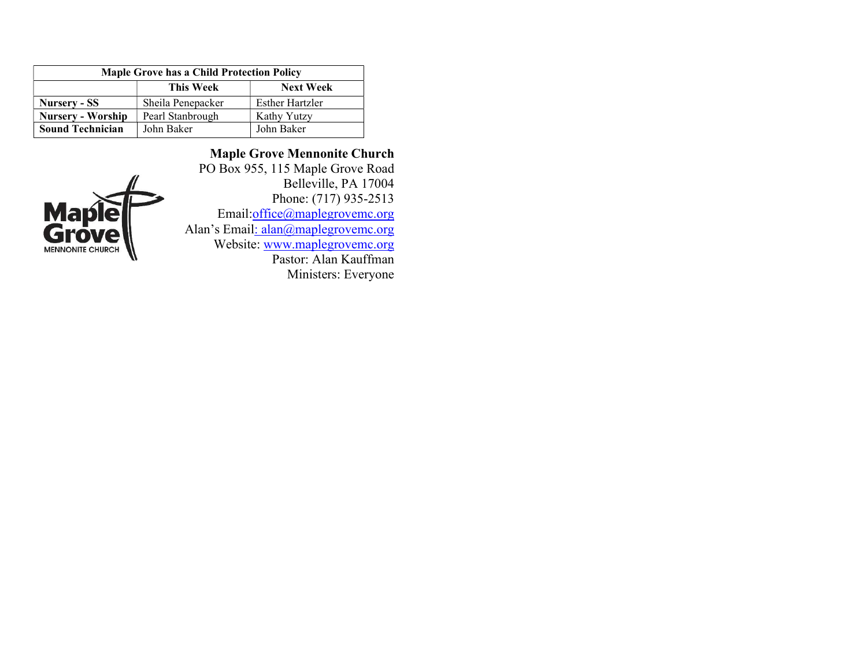| <b>Maple Grove has a Child Protection Policy</b> |                   |                  |  |
|--------------------------------------------------|-------------------|------------------|--|
|                                                  | <b>This Week</b>  | <b>Next Week</b> |  |
| Nursery - SS                                     | Sheila Penepacker | Esther Hartzler  |  |
| <b>Nursery - Worship</b>                         | Pearl Stanbrough  | Kathy Yutzy      |  |
| <b>Sound Technician</b>                          | John Baker        | John Baker       |  |



Maple Grove Mennonite Church PO Box 955, 115 Maple Grove Road Belleville, PA 17004 Phone: (717) 935-2513 Email:office@maplegrovemc.org Alan's Email: alan@maplegrovemc.org Website: www.maplegrovemc.org Pastor: Alan Kauffman Ministers: Everyone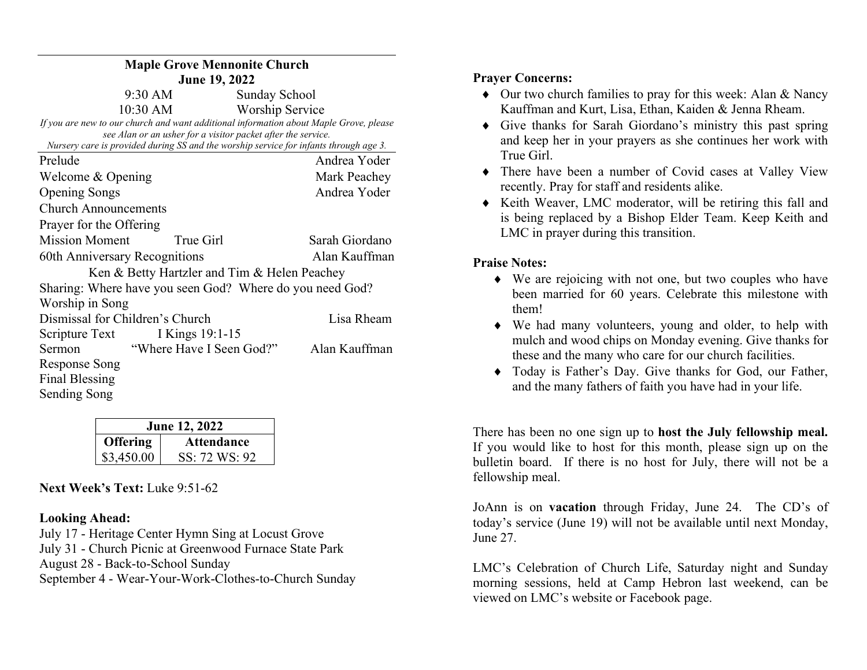| <b>Maple Grove Mennonite Church</b>                                                                                                                   |                          |                        |  |  |
|-------------------------------------------------------------------------------------------------------------------------------------------------------|--------------------------|------------------------|--|--|
| <b>June 19, 2022</b>                                                                                                                                  |                          |                        |  |  |
| $9:30$ AM                                                                                                                                             |                          | Sunday School          |  |  |
| $10:30$ AM                                                                                                                                            |                          | <b>Worship Service</b> |  |  |
| If you are new to our church and want additional information about Maple Grove, please                                                                |                          |                        |  |  |
| see Alan or an usher for a visitor packet after the service.<br>Nursery care is provided during SS and the worship service for infants through age 3. |                          |                        |  |  |
| Prelude                                                                                                                                               |                          | Andrea Yoder           |  |  |
| Welcome & Opening                                                                                                                                     |                          | Mark Peachey           |  |  |
| <b>Opening Songs</b>                                                                                                                                  |                          | Andrea Yoder           |  |  |
| <b>Church Announcements</b>                                                                                                                           |                          |                        |  |  |
| Prayer for the Offering                                                                                                                               |                          |                        |  |  |
| <b>Mission Moment</b>                                                                                                                                 | True Girl                | Sarah Giordano         |  |  |
| 60th Anniversary Recognitions                                                                                                                         |                          | Alan Kauffman          |  |  |
| Ken & Betty Hartzler and Tim & Helen Peachey                                                                                                          |                          |                        |  |  |
| Sharing: Where have you seen God? Where do you need God?                                                                                              |                          |                        |  |  |
| Worship in Song                                                                                                                                       |                          |                        |  |  |
| Dismissal for Children's Church                                                                                                                       |                          | Lisa Rheam             |  |  |
| Scripture Text                                                                                                                                        | I Kings 19:1-15          |                        |  |  |
| Sermon                                                                                                                                                | "Where Have I Seen God?" | Alan Kauffman          |  |  |
| Response Song                                                                                                                                         |                          |                        |  |  |
| Final Blessing                                                                                                                                        |                          |                        |  |  |
| Sending Song                                                                                                                                          |                          |                        |  |  |

| <b>June 12, 2022</b> |                   |  |
|----------------------|-------------------|--|
| <b>Offering</b>      | <b>Attendance</b> |  |
| \$3,450.00           | SS: 72 WS: 92     |  |

Next Week's Text: Luke 9:51-62

## Looking Ahead:

July 17 - Heritage Center Hymn Sing at Locust Grove July 31 - Church Picnic at Greenwood Furnace State Park August 28 - Back-to-School Sunday September 4 - Wear-Your-Work-Clothes-to-Church Sunday

## Prayer Concerns:

- Our two church families to pray for this week: Alan & Nancy Kauffman and Kurt, Lisa, Ethan, Kaiden & Jenna Rheam.
- Give thanks for Sarah Giordano's ministry this past spring and keep her in your prayers as she continues her work with True Girl.
- There have been a number of Covid cases at Valley View recently. Pray for staff and residents alike.
- Keith Weaver, LMC moderator, will be retiring this fall and is being replaced by a Bishop Elder Team. Keep Keith and LMC in prayer during this transition.

## Praise Notes:

- We are rejoicing with not one, but two couples who have been married for 60 years. Celebrate this milestone with them!
- We had many volunteers, young and older, to help with mulch and wood chips on Monday evening. Give thanks for these and the many who care for our church facilities.
- Today is Father's Day. Give thanks for God, our Father, and the many fathers of faith you have had in your life.

There has been no one sign up to host the July fellowship meal. If you would like to host for this month, please sign up on the bulletin board. If there is no host for July, there will not be a fellowship meal.

JoAnn is on vacation through Friday, June 24. The CD's of today's service (June 19) will not be available until next Monday, June 27.

LMC's Celebration of Church Life, Saturday night and Sunday morning sessions, held at Camp Hebron last weekend, can be viewed on LMC's website or Facebook page.